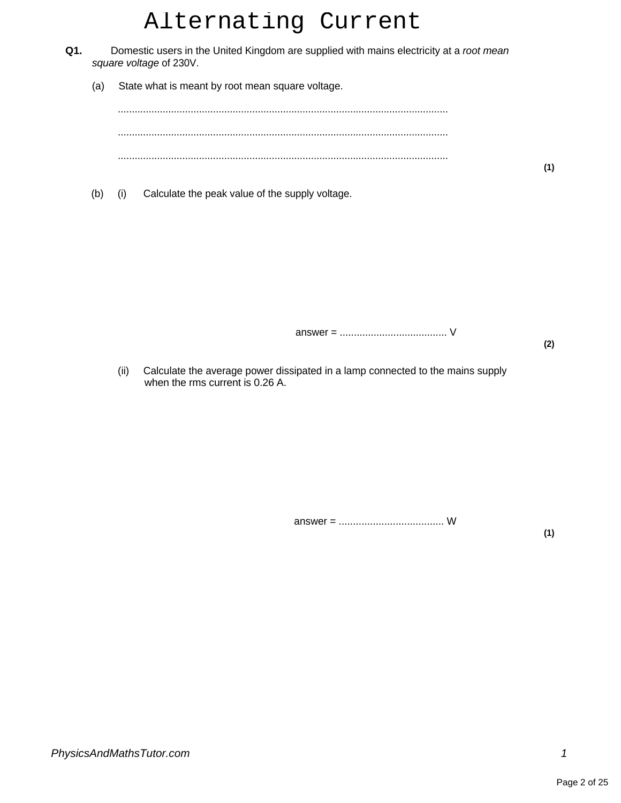# Alternating Current

- **Q1.** Domestic users in the United Kingdom are supplied with mains electricity at a root mean square voltage of 230V.
	- (a) State what is meant by root mean square voltage.

...................................................................................................................... ...................................................................................................................... ......................................................................................................................

(b) (i) Calculate the peak value of the supply voltage.

answer = ...................................... V

**(2)**

**(1)**

(ii) Calculate the average power dissipated in a lamp connected to the mains supply when the rms current is 0.26 A.

answer = ..................................... W

**(1)**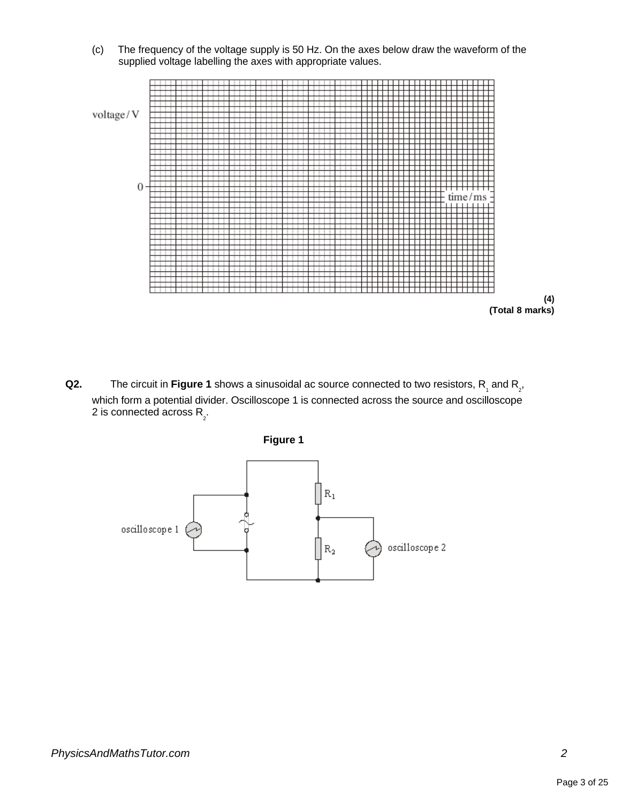(c) The frequency of the voltage supply is 50 Hz. On the axes below draw the waveform of the supplied voltage labelling the axes with appropriate values.





**Q2.** The circuit in Figure 1 shows a sinusoidal ac source connected to two resistors,  $R_{\text{1}}$  and  $R_{\text{2}}$ , which form a potential divider. Oscilloscope 1 is connected across the source and oscilloscope 2 is connected across R<sub>2</sub>.

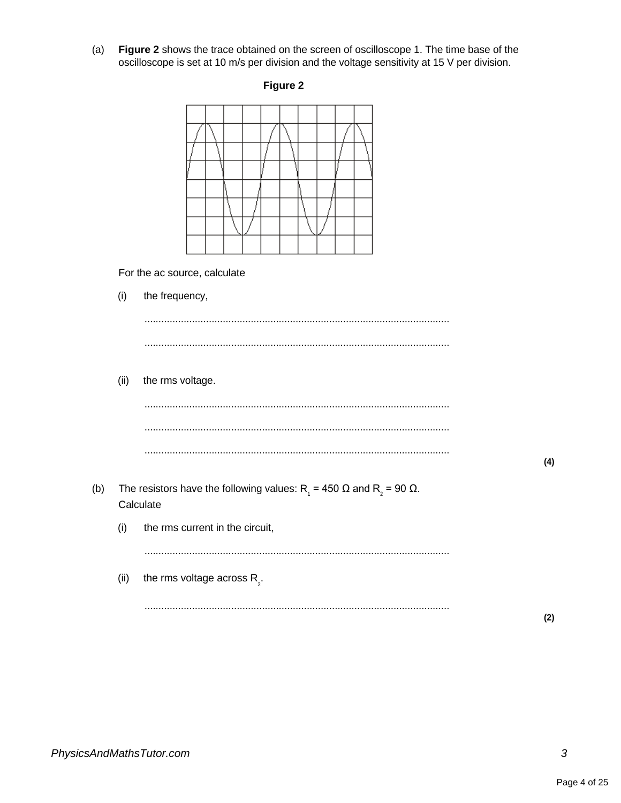(a) **Figure 2** shows the trace obtained on the screen of oscilloscope 1. The time base of the oscilloscope is set at 10 m/s per division and the voltage sensitivity at 15 V per division.



For the ac source, calculate

|     | (i)  | the frequency,                                                                                                         |     |
|-----|------|------------------------------------------------------------------------------------------------------------------------|-----|
|     |      |                                                                                                                        |     |
|     |      |                                                                                                                        |     |
|     | (ii) | the rms voltage.                                                                                                       |     |
|     |      |                                                                                                                        |     |
|     |      |                                                                                                                        |     |
|     |      |                                                                                                                        | (4) |
| (b) |      | The resistors have the following values: R <sub>1</sub> = 450 $\Omega$ and R <sub>2</sub> = 90 $\Omega$ .<br>Calculate |     |
|     | (i)  | the rms current in the circuit,                                                                                        |     |
|     |      |                                                                                                                        |     |
|     | (ii) | the rms voltage across $R_{\rho}$ .                                                                                    |     |
|     |      |                                                                                                                        | (2) |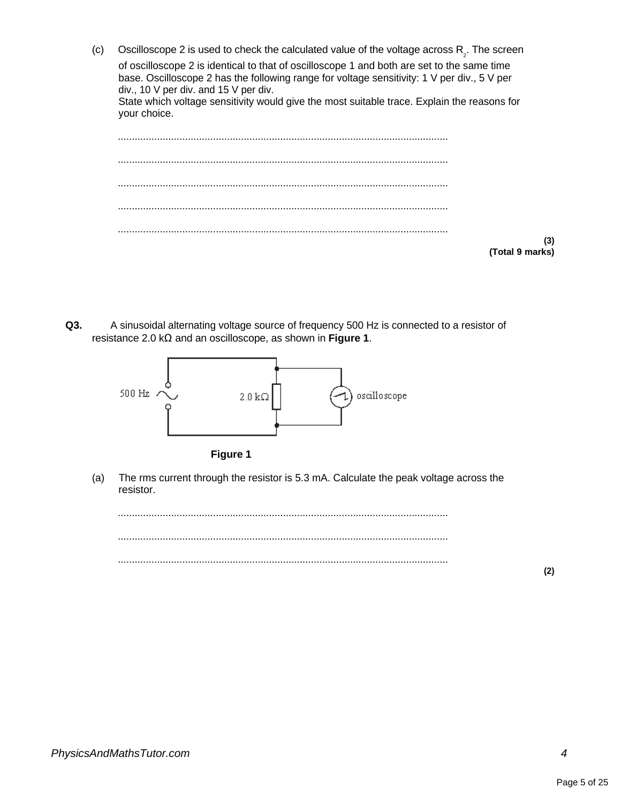- (c) Oscilloscope 2 is used to check the calculated value of the voltage across  $R_2$ . The screen of oscilloscope 2 is identical to that of oscilloscope 1 and both are set to the same time base. Oscilloscope 2 has the following range for voltage sensitivity: 1 V per div., 5 V per div., 10 V per div. and 15 V per div. State which voltage sensitivity would give the most suitable trace. Explain the reasons for your choice. ...................................................................................................................... ...................................................................................................................... ...................................................................................................................... ...................................................................................................................... ......................................................................................................................
	- **(Total 9 marks)**

**(3)**

**Q3.** A sinusoidal alternating voltage source of frequency 500 Hz is connected to a resistor of resistance 2.0 kΩ and an oscilloscope, as shown in **Figure 1**.



**Figure 1**

(a) The rms current through the resistor is 5.3 mA. Calculate the peak voltage across the resistor.

...................................................................................................................... ...................................................................................................................... ......................................................................................................................

**(2)**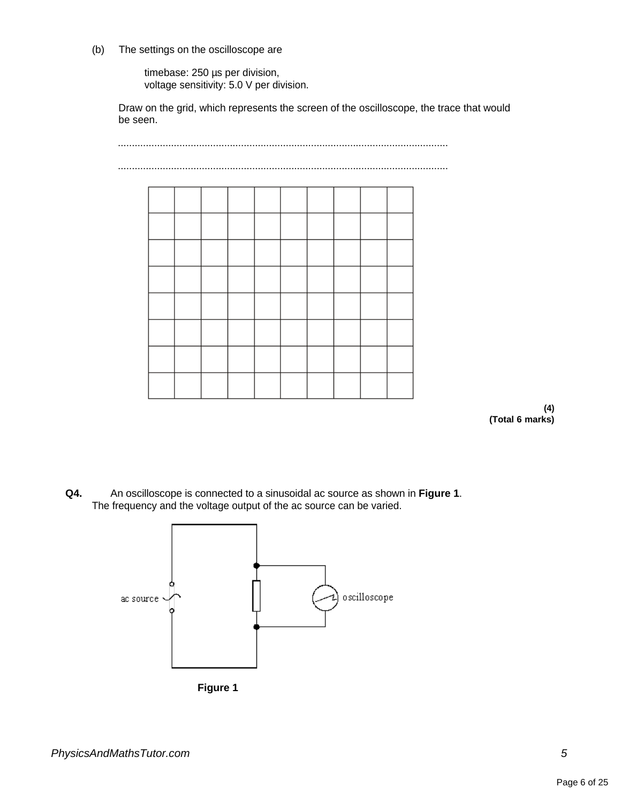(b) The settings on the oscilloscope are

timebase: 250 µs per division, voltage sensitivity: 5.0 V per division.

Draw on the grid, which represents the screen of the oscilloscope, the trace that would be seen.



**Q4.** An oscilloscope is connected to a sinusoidal ac source as shown in **Figure 1**. The frequency and the voltage output of the ac source can be varied.

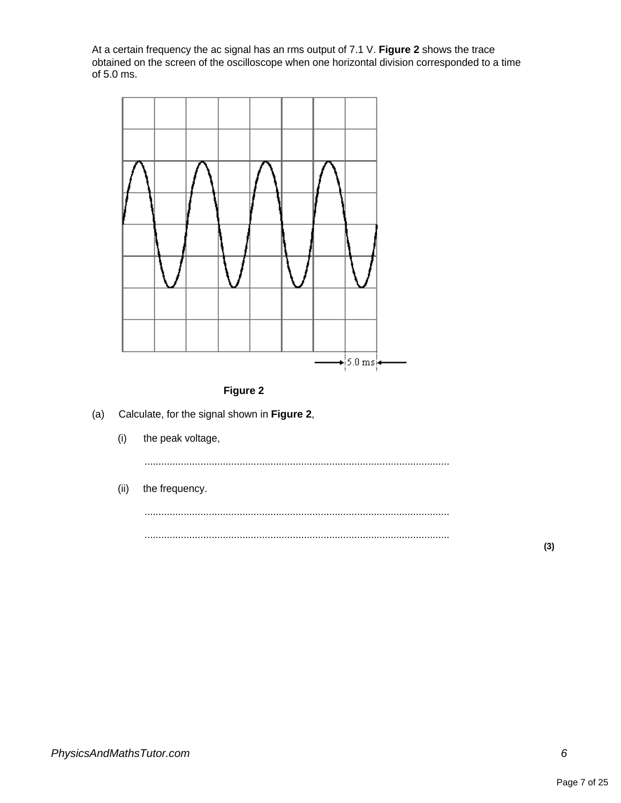At a certain frequency the ac signal has an rms output of 7.1 V. **Figure 2** shows the trace obtained on the screen of the oscilloscope when one horizontal division corresponded to a time of 5.0 ms.





- (a) Calculate, for the signal shown in **Figure 2**,
	- (i) the peak voltage,

.............................................................................................................

(ii) the frequency.

............................................................................................................. .............................................................................................................

**(3)**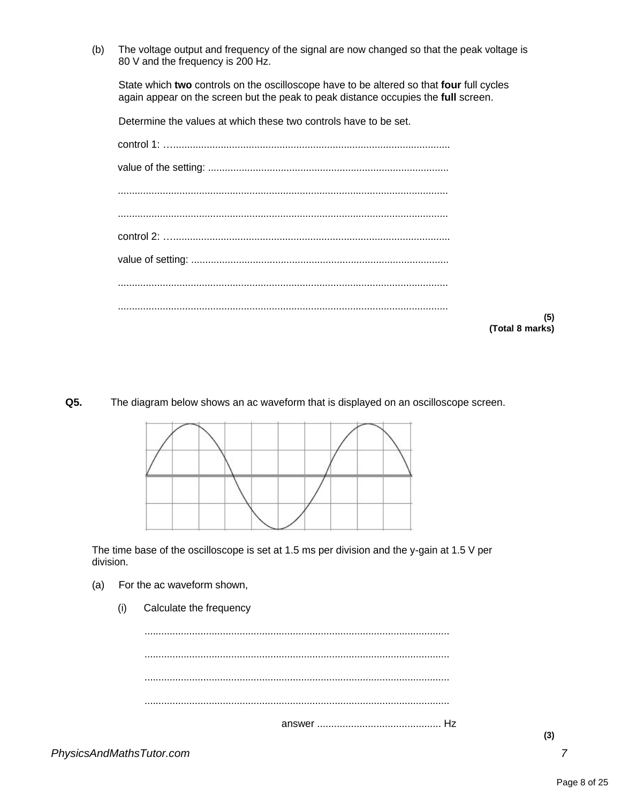(b) The voltage output and frequency of the signal are now changed so that the peak voltage is 80 V and the frequency is 200 Hz.

State which **two** controls on the oscilloscope have to be altered so that **four** full cycles again appear on the screen but the peak to peak distance occupies the **full** screen.

Determine the values at which these two controls have to be set.

| Total |
|-------|

**Q5.** The diagram below shows an ac waveform that is displayed on an oscilloscope screen.



The time base of the oscilloscope is set at 1.5 ms per division and the y-gain at 1.5 V per division.

- (a) For the ac waveform shown,
	- (i) Calculate the frequency

............................................................................................................. ............................................................................................................. ............................................................................................................. ............................................................................................................. answer ............................................ Hz

**(5) (Total 8 marks)**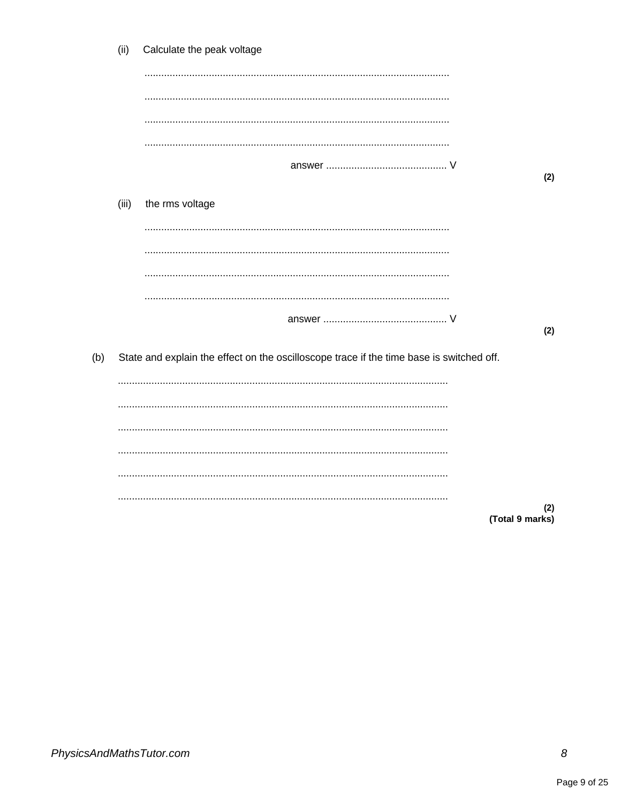|     | (ii)  | Calculate the peak voltage                                                               |     |
|-----|-------|------------------------------------------------------------------------------------------|-----|
|     |       |                                                                                          |     |
|     |       |                                                                                          |     |
|     |       |                                                                                          |     |
|     |       |                                                                                          |     |
|     |       |                                                                                          | (2) |
|     | (iii) | the rms voltage                                                                          |     |
|     |       |                                                                                          |     |
|     |       |                                                                                          |     |
|     |       |                                                                                          |     |
|     |       |                                                                                          |     |
|     |       |                                                                                          |     |
|     |       |                                                                                          | (2) |
| (b) |       | State and explain the effect on the oscilloscope trace if the time base is switched off. |     |
|     |       |                                                                                          |     |
|     |       |                                                                                          |     |
|     |       |                                                                                          |     |
|     |       |                                                                                          |     |
|     |       |                                                                                          |     |
|     |       |                                                                                          |     |
|     |       | (Total 9 marks)                                                                          | (2) |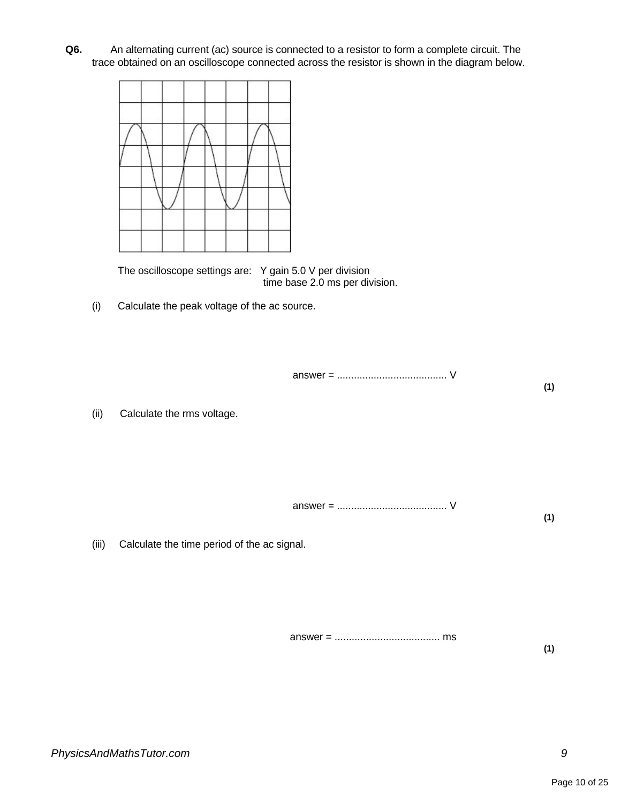**Q6.** An alternating current (ac) source is connected to a resistor to form a complete circuit. The trace obtained on an oscilloscope connected across the resistor is shown in the diagram below.



The oscilloscope settings are: Y gain 5.0 V per division time base 2.0 ms per division.

(i) Calculate the peak voltage of the ac source.

answer = ....................................... V **(1)**

(ii) Calculate the rms voltage.

answer = ....................................... V **(1)**

(iii) Calculate the time period of the ac signal.

answer = ..................................... ms **(1)**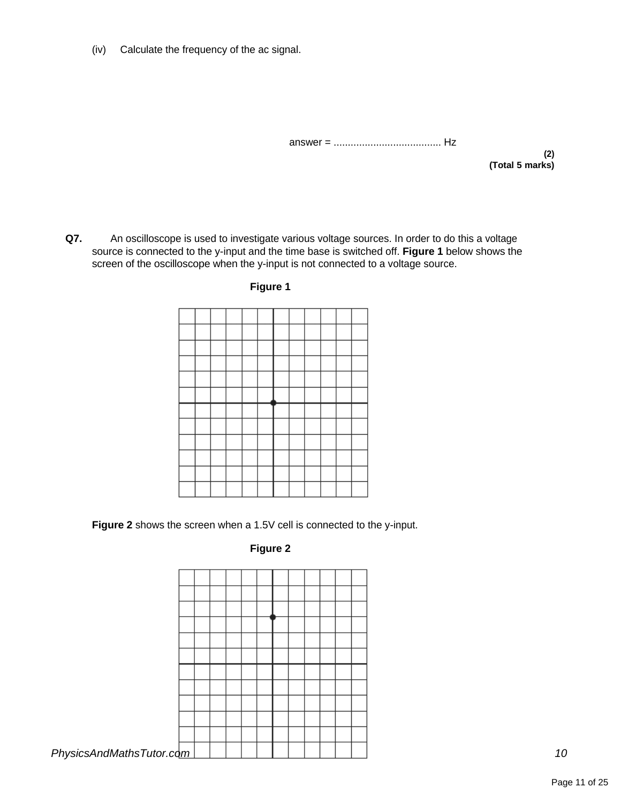(iv) Calculate the frequency of the ac signal.

answer = ...................................... Hz

**(2) (Total 5 marks)**

**Q7.** An oscilloscope is used to investigate various voltage sources. In order to do this a voltage source is connected to the y-input and the time base is switched off. **Figure 1** below shows the screen of the oscilloscope when the y-input is not connected to a voltage source.



**Figure 1**

**Figure 2** shows the screen when a 1.5V cell is connected to the y-input.

## **Figure 2**

| PhysicsAndMathsTutor.com |  |  |  |  |  |  |
|--------------------------|--|--|--|--|--|--|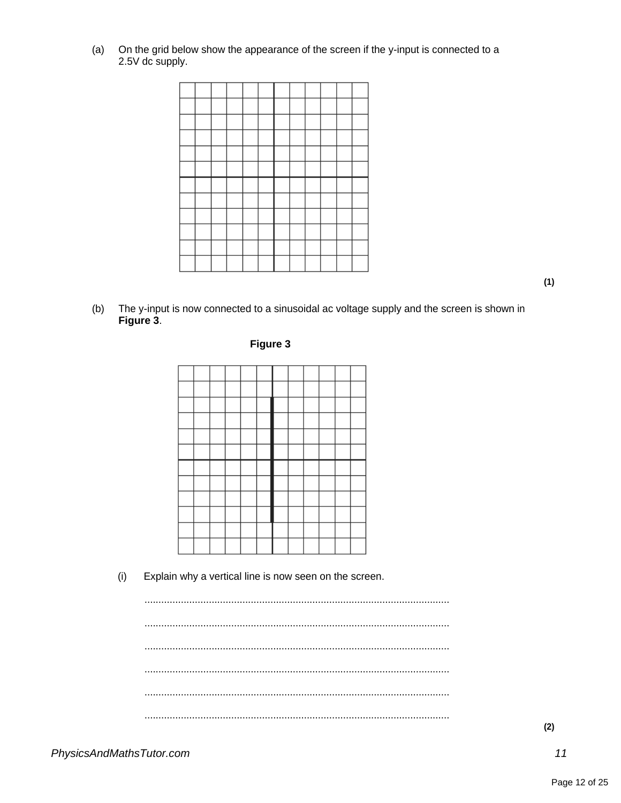$(a)$ On the grid below show the appearance of the screen if the y-input is connected to a 2.5V dc supply.



The y-input is now connected to a sinusoidal ac voltage supply and the screen is shown in  $(b)$ Figure 3.







 $(i)$ Explain why a vertical line is now seen on the screen.

 $(2)$ 

 $(1)$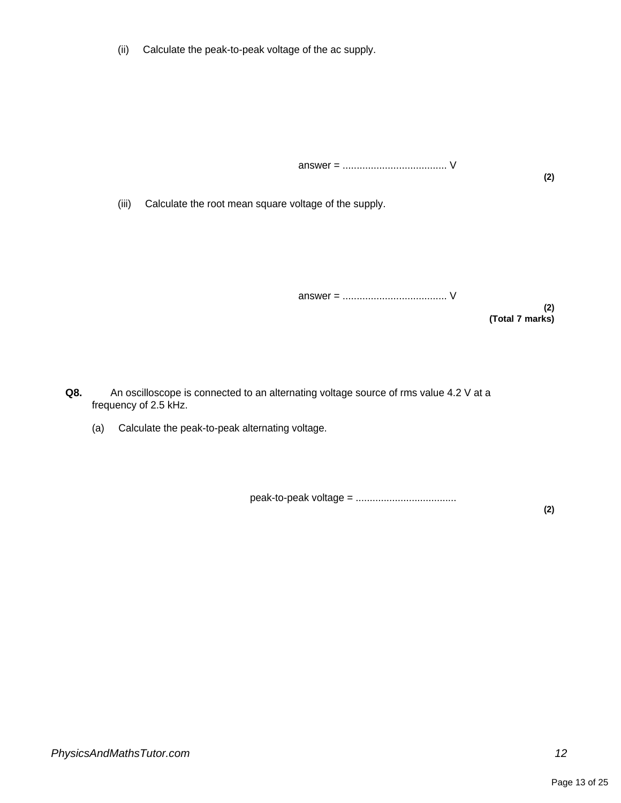(ii) Calculate the peak-to-peak voltage of the ac supply.

answer = ..................................... V

**(2)**

(iii) Calculate the root mean square voltage of the supply.

answer = ..................................... V

**(2) (Total 7 marks)**

**Q8.** An oscilloscope is connected to an alternating voltage source of rms value 4.2 V at a frequency of 2.5 kHz.

(a) Calculate the peak-to-peak alternating voltage.

peak-to-peak voltage = .................................... **(2)**

*PhysicsAndMathsTutor.com 12*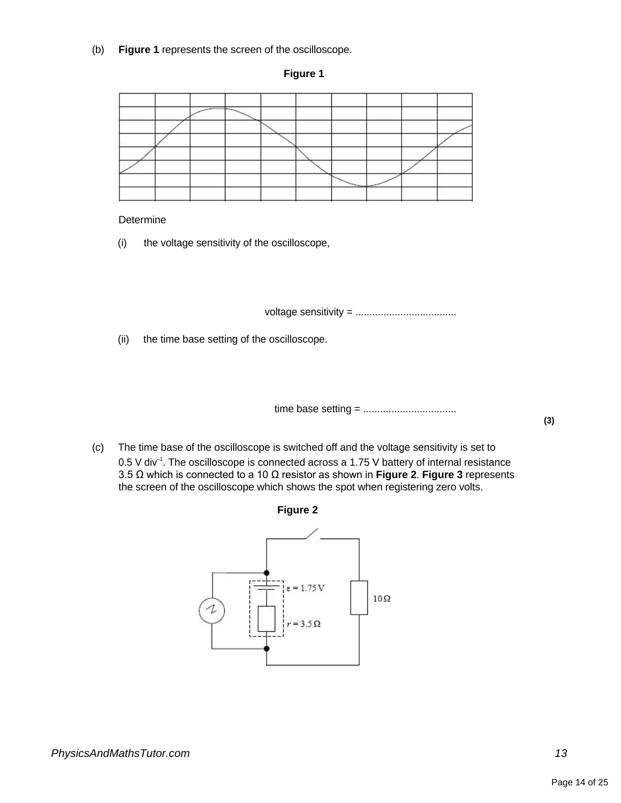(b) **Figure 1** represents the screen of the oscilloscope.

#### **Figure 1**

|  |  |  | $\sim$ |  |  |
|--|--|--|--------|--|--|
|  |  |  |        |  |  |

#### Determine

(i) the voltage sensitivity of the oscilloscope,

voltage sensitivity = ....................................

(ii) the time base setting of the oscilloscope.

time base setting = .................................

(c) The time base of the oscilloscope is switched off and the voltage sensitivity is set to 0.5 V div<sup>-1</sup>. The oscilloscope is connected across a 1.75 V battery of internal resistance 3.5 Ω which is connected to a 10 Ω resistor as shown in **Figure 2**. **Figure 3** represents



the screen of the oscilloscope which shows the spot when registering zero volts.



**(3)**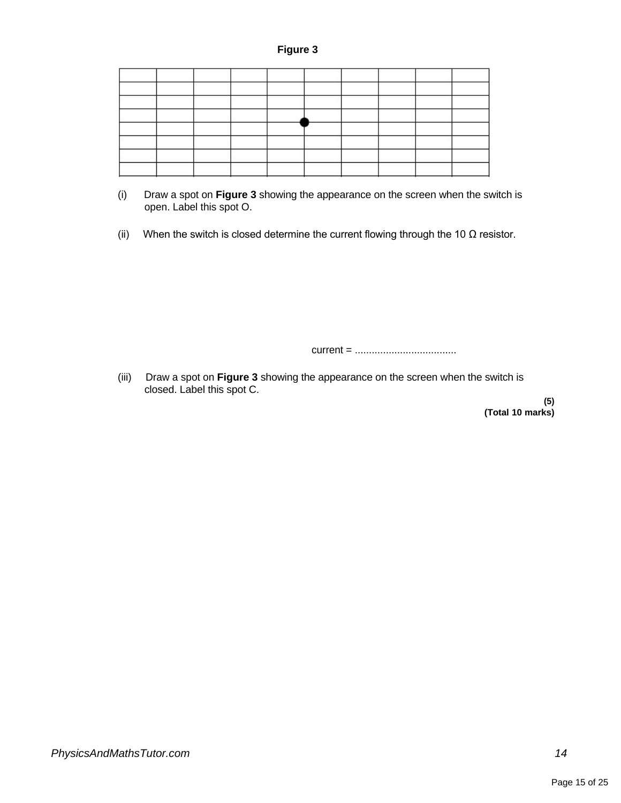### **Figure 3**

- (i) Draw a spot on **Figure 3** showing the appearance on the screen when the switch is open. Label this spot O.
- (ii) When the switch is closed determine the current flowing through the 10  $\Omega$  resistor.

current = ....................................

(iii) Draw a spot on **Figure 3** showing the appearance on the screen when the switch is closed. Label this spot C.

**(5) (Total 10 marks)**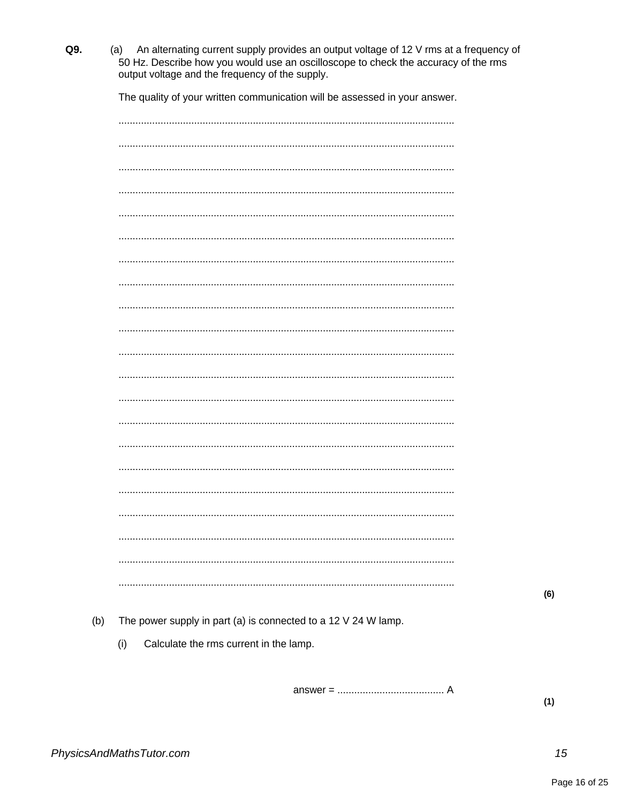(a) An alternating current supply provides an output voltage of 12 V rms at a frequency of 50 Hz. Describe how you would use an oscilloscope to check the accuracy of the rms output voltage and the frequency of the supply.

The quality of your written communication will be assessed in your answer.

| $\cdots$ |
|----------|
|          |
|          |
|          |
|          |
|          |
|          |
|          |
|          |
|          |
|          |
|          |
|          |

 $(6)$ 

- $(b)$ The power supply in part (a) is connected to a 12 V 24 W lamp.
	- $(i)$ Calculate the rms current in the lamp.

Q9.